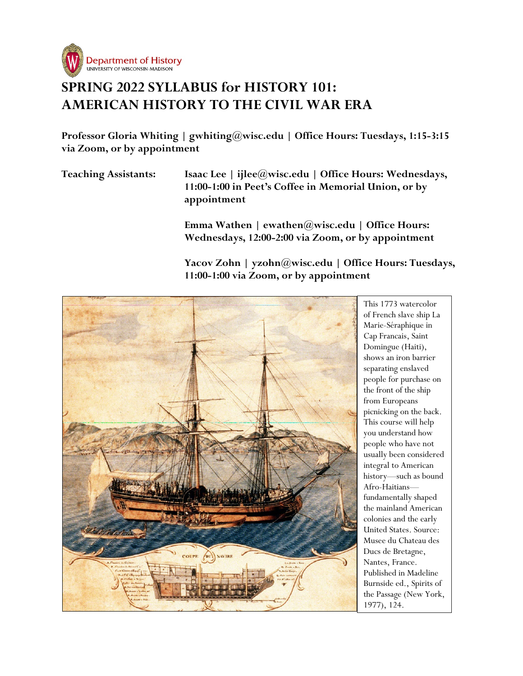

# **SPRING 2022 SYLLABUS for HISTORY 101: AMERICAN HISTORY TO THE CIVIL WAR ERA**

**Professor Gloria Whiting | gwhiting@wisc.edu | Office Hours: Tuesdays, 1:15-3:15 via Zoom, or by appointment**

**Teaching Assistants: Isaac Lee | ijlee@wisc.edu | Office Hours: Wednesdays, 11:00-1:00 in Peet's Coffee in Memorial Union, or by appointment** 

> **Emma Wathen | ewathen@wisc.edu | Office Hours: Wednesdays, 12:00-2:00 via Zoom, or by appointment**

**Yacov Zohn | yzohn@wisc.edu | Office Hours: Tuesdays, 11:00-1:00 via Zoom, or by appointment**



This 1773 watercolor of French slave ship La Marie-Séraphique in Cap Francais, Saint Domingue (Haiti), shows an iron barrier separating enslaved people for purchase on the front of the ship from Europeans picnicking on the back. This course will help you understand how people who have not usually been considered integral to American history—such as bound Afro-Haitians fundamentally shaped the mainland American colonies and the early United States. Source: Musee du Chateau des Ducs de Bretagne, Nantes, France. Published in Madeline Burnside ed., Spirits of the Passage (New York, 1977), 124.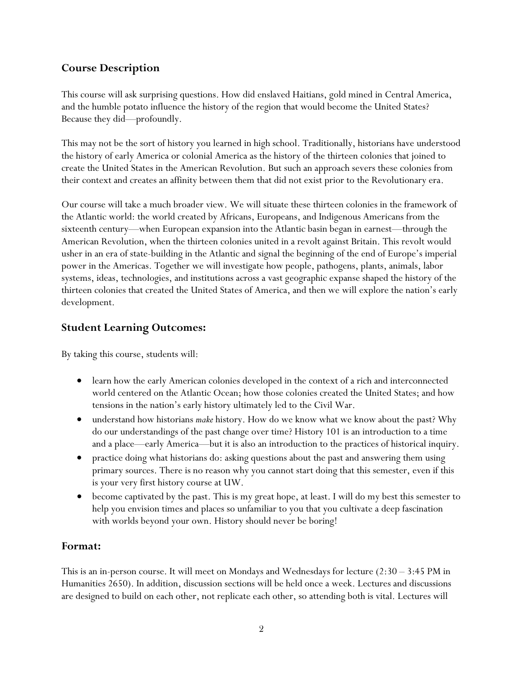# **Course Description**

This course will ask surprising questions. How did enslaved Haitians, gold mined in Central America, and the humble potato influence the history of the region that would become the United States? Because they did—profoundly.

This may not be the sort of history you learned in high school. Traditionally, historians have understood the history of early America or colonial America as the history of the thirteen colonies that joined to create the United States in the American Revolution. But such an approach severs these colonies from their context and creates an affinity between them that did not exist prior to the Revolutionary era.

Our course will take a much broader view. We will situate these thirteen colonies in the framework of the Atlantic world: the world created by Africans, Europeans, and Indigenous Americans from the sixteenth century—when European expansion into the Atlantic basin began in earnest—through the American Revolution, when the thirteen colonies united in a revolt against Britain. This revolt would usher in an era of state-building in the Atlantic and signal the beginning of the end of Europe's imperial power in the Americas. Together we will investigate how people, pathogens, plants, animals, labor systems, ideas, technologies, and institutions across a vast geographic expanse shaped the history of the thirteen colonies that created the United States of America, and then we will explore the nation's early development.

# **Student Learning Outcomes:**

By taking this course, students will:

- learn how the early American colonies developed in the context of a rich and interconnected world centered on the Atlantic Ocean; how those colonies created the United States; and how tensions in the nation's early history ultimately led to the Civil War.
- understand how historians *make* history. How do we know what we know about the past? Why do our understandings of the past change over time? History 101 is an introduction to a time and a place—early America—but it is also an introduction to the practices of historical inquiry.
- practice doing what historians do: asking questions about the past and answering them using primary sources. There is no reason why you cannot start doing that this semester, even if this is your very first history course at UW.
- become captivated by the past. This is my great hope, at least. I will do my best this semester to help you envision times and places so unfamiliar to you that you cultivate a deep fascination with worlds beyond your own. History should never be boring!

### **Format:**

This is an in-person course. It will meet on Mondays and Wednesdays for lecture  $(2:30 - 3:45 \text{ PM in})$ Humanities 2650). In addition, discussion sections will be held once a week. Lectures and discussions are designed to build on each other, not replicate each other, so attending both is vital. Lectures will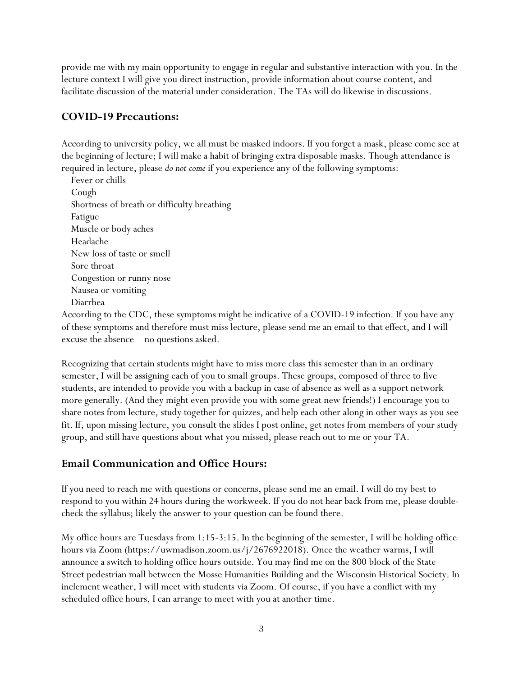provide me with my main opportunity to engage in regular and substantive interaction with you. In the lecture context I will give you direct instruction, provide information about course content, and facilitate discussion of the material under consideration. The TAs will do likewise in discussions.

# **COVID-19 Precautions:**

According to university policy, we all must be masked indoors. If you forget a mask, please come see at the beginning of lecture; I will make a habit of bringing extra disposable masks. Though attendance is required in lecture, please *do not come* if you experience any of the following symptoms:

 Fever or chills Cough Shortness of breath or difficulty breathing Fatigue Muscle or body aches Headache New loss of taste or smell Sore throat Congestion or runny nose Nausea or vomiting Diarrhea

According to the CDC, these symptoms might be indicative of a COVID-19 infection. If you have any of these symptoms and therefore must miss lecture, please send me an email to that effect, and I will excuse the absence—no questions asked.

Recognizing that certain students might have to miss more class this semester than in an ordinary semester, I will be assigning each of you to small groups. These groups, composed of three to five students, are intended to provide you with a backup in case of absence as well as a support network more generally. (And they might even provide you with some great new friends!) I encourage you to share notes from lecture, study together for quizzes, and help each other along in other ways as you see fit. If, upon missing lecture, you consult the slides I post online, get notes from members of your study group, and still have questions about what you missed, please reach out to me or your TA.

### **Email Communication and Office Hours:**

If you need to reach me with questions or concerns, please send me an email. I will do my best to respond to you within 24 hours during the workweek. If you do not hear back from me, please doublecheck the syllabus; likely the answer to your question can be found there.

My office hours are Tuesdays from 1:15-3:15. In the beginning of the semester, I will be holding office hours via Zoom (https://uwmadison.zoom.us/j/2676922018). Once the weather warms, I will announce a switch to holding office hours outside. You may find me on the 800 block of the State Street pedestrian mall between the Mosse Humanities Building and the Wisconsin Historical Society. In inclement weather, I will meet with students via Zoom. Of course, if you have a conflict with my scheduled office hours, I can arrange to meet with you at another time.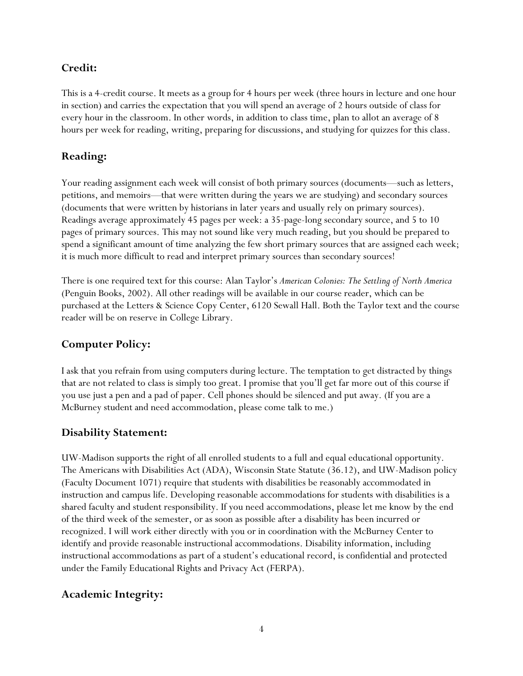### **Credit:**

This is a 4-credit course. It meets as a group for 4 hours per week (three hours in lecture and one hour in section) and carries the expectation that you will spend an average of 2 hours outside of class for every hour in the classroom. In other words, in addition to class time, plan to allot an average of 8 hours per week for reading, writing, preparing for discussions, and studying for quizzes for this class.

# **Reading:**

Your reading assignment each week will consist of both primary sources (documents—such as letters, petitions, and memoirs—that were written during the years we are studying) and secondary sources (documents that were written by historians in later years and usually rely on primary sources). Readings average approximately 45 pages per week: a 35-page-long secondary source, and 5 to 10 pages of primary sources. This may not sound like very much reading, but you should be prepared to spend a significant amount of time analyzing the few short primary sources that are assigned each week; it is much more difficult to read and interpret primary sources than secondary sources!

There is one required text for this course: Alan Taylor's *American Colonies: The Settling of North America* (Penguin Books, 2002). All other readings will be available in our course reader, which can be purchased at the Letters & Science Copy Center, 6120 Sewall Hall. Both the Taylor text and the course reader will be on reserve in College Library.

# **Computer Policy:**

I ask that you refrain from using computers during lecture. The temptation to get distracted by things that are not related to class is simply too great. I promise that you'll get far more out of this course if you use just a pen and a pad of paper. Cell phones should be silenced and put away. (If you are a McBurney student and need accommodation, please come talk to me.)

### **Disability Statement:**

UW-Madison supports the right of all enrolled students to a full and equal educational opportunity. The Americans with Disabilities Act (ADA), Wisconsin State Statute (36.12), and UW-Madison policy (Faculty Document 1071) require that students with disabilities be reasonably accommodated in instruction and campus life. Developing reasonable accommodations for students with disabilities is a shared faculty and student responsibility. If you need accommodations, please let me know by the end of the third week of the semester, or as soon as possible after a disability has been incurred or recognized. I will work either directly with you or in coordination with the McBurney Center to identify and provide reasonable instructional accommodations. Disability information, including instructional accommodations as part of a student's educational record, is confidential and protected under the Family Educational Rights and Privacy Act (FERPA).

# **Academic Integrity:**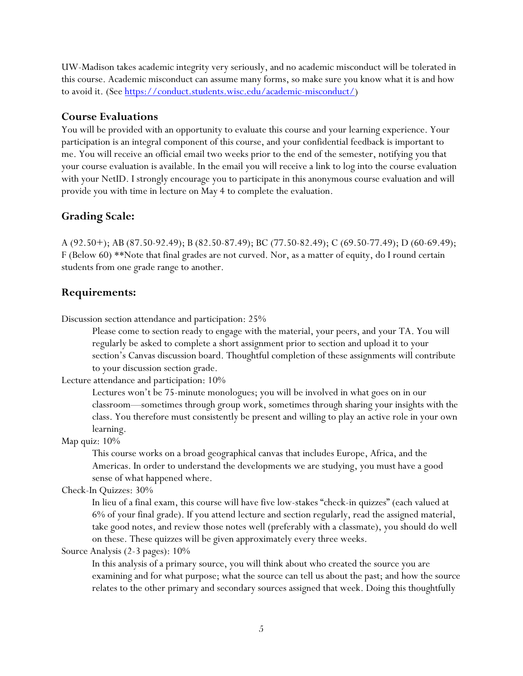UW-Madison takes academic integrity very seriously, and no academic misconduct will be tolerated in this course. Academic misconduct can assume many forms, so make sure you know what it is and how to avoid it. (See [https://conduct.students.wisc.edu/academic-misconduct/\)](https://conduct.students.wisc.edu/academic-misconduct/)

### **Course Evaluations**

You will be provided with an opportunity to evaluate this course and your learning experience. Your participation is an integral component of this course, and your confidential feedback is important to me. You will receive an official email two weeks prior to the end of the semester, notifying you that your course evaluation is available. In the email you will receive a link to log into the course evaluation with your NetID. I strongly encourage you to participate in this anonymous course evaluation and will provide you with time in lecture on May 4 to complete the evaluation.

### **Grading Scale:**

A (92.50+); AB (87.50-92.49); B (82.50-87.49); BC (77.50-82.49); C (69.50-77.49); D (60-69.49); F (Below 60) \*\*Note that final grades are not curved. Nor, as a matter of equity, do I round certain students from one grade range to another.

### **Requirements:**

Discussion section attendance and participation: 25%

Please come to section ready to engage with the material, your peers, and your TA. You will regularly be asked to complete a short assignment prior to section and upload it to your section's Canvas discussion board. Thoughtful completion of these assignments will contribute to your discussion section grade.

Lecture attendance and participation: 10%

Lectures won't be 75-minute monologues; you will be involved in what goes on in our classroom—sometimes through group work, sometimes through sharing your insights with the class. You therefore must consistently be present and willing to play an active role in your own learning.

Map quiz: 10%

This course works on a broad geographical canvas that includes Europe, Africa, and the Americas. In order to understand the developments we are studying, you must have a good sense of what happened where.

Check-In Quizzes: 30%

In lieu of a final exam, this course will have five low-stakes "check-in quizzes" (each valued at 6% of your final grade). If you attend lecture and section regularly, read the assigned material, take good notes, and review those notes well (preferably with a classmate), you should do well on these. These quizzes will be given approximately every three weeks.

Source Analysis (2-3 pages): 10%

In this analysis of a primary source, you will think about who created the source you are examining and for what purpose; what the source can tell us about the past; and how the source relates to the other primary and secondary sources assigned that week. Doing this thoughtfully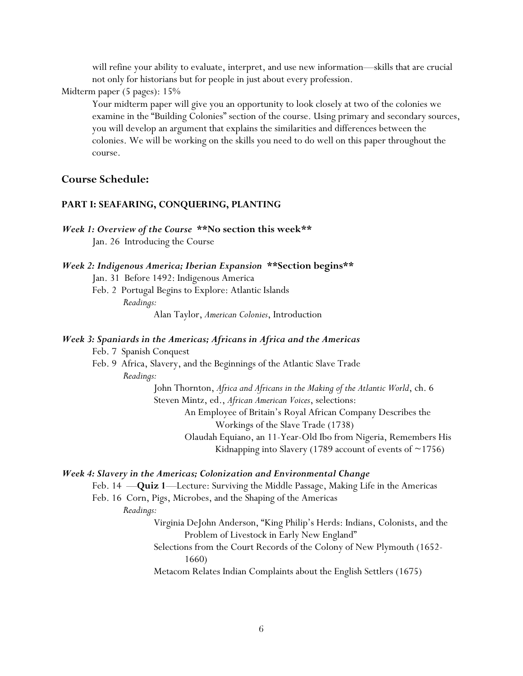will refine your ability to evaluate, interpret, and use new information—skills that are crucial not only for historians but for people in just about every profession.

Midterm paper (5 pages): 15%

Your midterm paper will give you an opportunity to look closely at two of the colonies we examine in the "Building Colonies" section of the course. Using primary and secondary sources, you will develop an argument that explains the similarities and differences between the colonies. We will be working on the skills you need to do well on this paper throughout the course.

### **Course Schedule:**

#### **PART I: SEAFARING, CONQUERING, PLANTING**

*Week 1: Overview of the Course* **\*\*No section this week\*\*** Jan. 26 Introducing the Course

| Week 2: Indigenous America; Iberian Expansion ** Section begins** |  |  |  |
|-------------------------------------------------------------------|--|--|--|
|                                                                   |  |  |  |

Jan. 31 Before 1492: Indigenous America

Feb. 2 Portugal Begins to Explore: Atlantic Islands *Readings:* 

### *Week 3: Spaniards in the Americas; Africans in Africa and the Americas*

Feb. 7 Spanish Conquest

Feb. 9 Africa, Slavery, and the Beginnings of the Atlantic Slave Trade *Readings:*

> John Thornton, *Africa and Africans in the Making of the Atlantic World*, ch. 6 Steven Mintz, ed., *African American Voices*, selections: An Employee of Britain's Royal African Company Describes the Workings of the Slave Trade (1738) Olaudah Equiano, an 11-Year-Old Ibo from Nigeria, Remembers His Kidnapping into Slavery (1789 account of events of  $\sim$ 1756)

#### *Week 4: Slavery in the Americas; Colonization and Environmental Change*

Feb. 14 —**Quiz 1**—Lecture: Surviving the Middle Passage, Making Life in the Americas Feb. 16 Corn, Pigs, Microbes, and the Shaping of the Americas

*Readings:* 

Virginia DeJohn Anderson, "King Philip's Herds: Indians, Colonists, and the Problem of Livestock in Early New England"

Selections from the Court Records of the Colony of New Plymouth (1652- 1660)

Metacom Relates Indian Complaints about the English Settlers (1675)

Alan Taylor, *American Colonies*, Introduction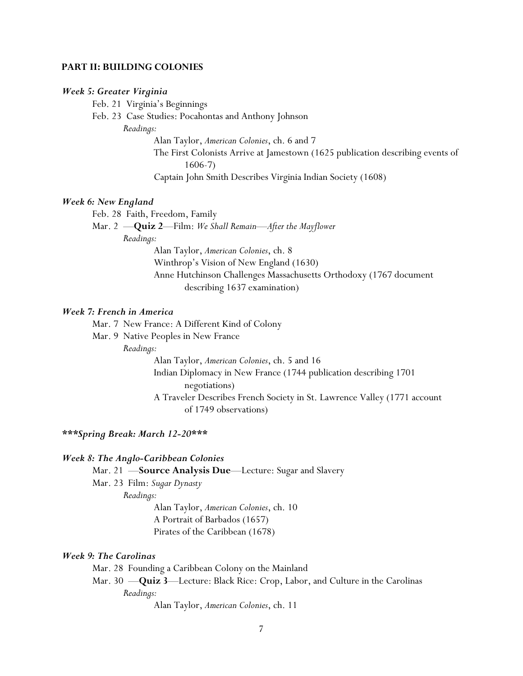#### **PART II: BUILDING COLONIES**

#### *Week 5: Greater Virginia*

Feb. 21 Virginia's Beginnings

Feb. 23 Case Studies: Pocahontas and Anthony Johnson

*Readings:* 

Alan Taylor, *American Colonies*, ch. 6 and 7

The First Colonists Arrive at Jamestown (1625 publication describing events of 1606-7)

Captain John Smith Describes Virginia Indian Society (1608)

#### *Week 6: New England*

Feb. 28 Faith, Freedom, Family

Mar. 2 —**Quiz 2**—Film: *We Shall Remain—After the Mayflower*

*Readings:* 

Alan Taylor, *American Colonies*, ch. 8 Winthrop's Vision of New England (1630) Anne Hutchinson Challenges Massachusetts Orthodoxy (1767 document describing 1637 examination)

#### *Week 7: French in America*

Mar. 7 New France: A Different Kind of Colony

Mar. 9 Native Peoples in New France

*Readings:* 

Alan Taylor, *American Colonies*, ch. 5 and 16 Indian Diplomacy in New France (1744 publication describing 1701 negotiations) A Traveler Describes French Society in St. Lawrence Valley (1771 account of 1749 observations)

#### *\*\*\*Spring Break: March 12-20\*\*\**

#### *Week 8: The Anglo-Caribbean Colonies*

Mar. 21 —**Source Analysis Due**—Lecture: Sugar and Slavery

Mar. 23 Film: *Sugar Dynasty*

*Readings:* 

Alan Taylor, *American Colonies*, ch. 10 A Portrait of Barbados (1657) Pirates of the Caribbean (1678)

#### *Week 9: The Carolinas*

Mar. 28 Founding a Caribbean Colony on the Mainland Mar. 30 —**Quiz 3**—Lecture: Black Rice: Crop, Labor, and Culture in the Carolinas *Readings:*  Alan Taylor, *American Colonies*, ch. 11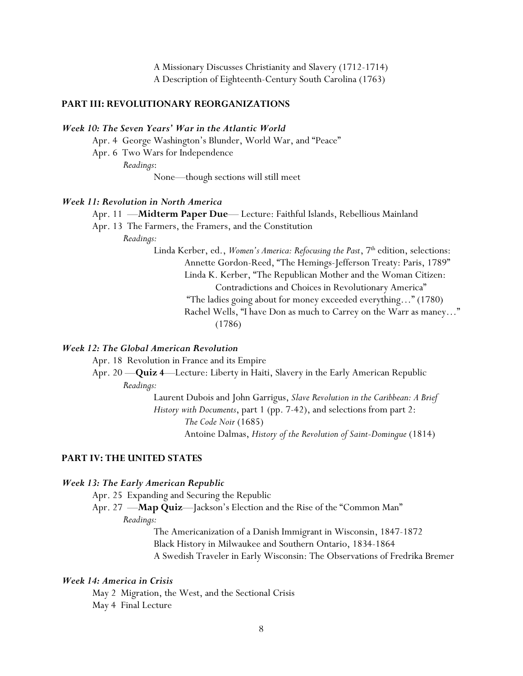A Missionary Discusses Christianity and Slavery (1712-1714) A Description of Eighteenth-Century South Carolina (1763)

### **PART III: REVOLUTIONARY REORGANIZATIONS**

#### *Week 10: The Seven Years' War in the Atlantic World*

Apr. 4 George Washington's Blunder, World War, and "Peace"

Apr. 6 Two Wars for Independence

*Readings*:

None—though sections will still meet

#### *Week 11: Revolution in North America*

Apr. 11 —**Midterm Paper Due**— Lecture: Faithful Islands, Rebellious Mainland

Apr. 13 The Farmers, the Framers, and the Constitution

*Readings:* 

Linda Kerber, ed., *Women's America: Refocusing the Past*, 7<sup>th</sup> edition, selections: Annette Gordon-Reed, "The Hemings-Jefferson Treaty: Paris, 1789" Linda K. Kerber, "The Republican Mother and the Woman Citizen: Contradictions and Choices in Revolutionary America" "The ladies going about for money exceeded everything…" (1780) Rachel Wells, "I have Don as much to Carrey on the Warr as maney…" (1786)

### *Week 12: The Global American Revolution*

Apr. 18 Revolution in France and its Empire

Apr. 20 —**Quiz 4**—Lecture: Liberty in Haiti, Slavery in the Early American Republic *Readings:*

> Laurent Dubois and John Garrigus, *Slave Revolution in the Caribbean: A Brief History with Documents*, part 1 (pp. 7-42), and selections from part 2: *The Code Noir* (1685) Antoine Dalmas, *History of the Revolution of Saint-Domingue* (1814)

#### **PART IV: THE UNITED STATES**

#### *Week 13: The Early American Republic*

Apr. 25 Expanding and Securing the Republic

Apr. 27 —**Map Quiz**—Jackson's Election and the Rise of the "Common Man"

*Readings:* 

The Americanization of a Danish Immigrant in Wisconsin, 1847-1872 Black History in Milwaukee and Southern Ontario, 1834-1864 A Swedish Traveler in Early Wisconsin: The Observations of Fredrika Bremer

#### *Week 14: America in Crisis*

May 2 Migration, the West, and the Sectional Crisis May 4 Final Lecture